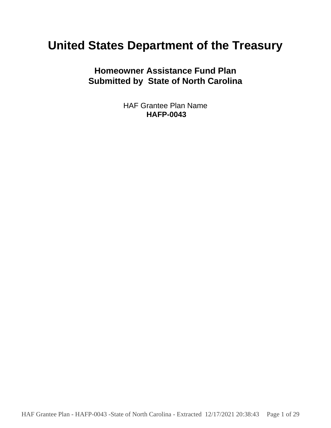# **United States Department of the Treasury**

**Homeowner Assistance Fund Plan Submitted by State of North Carolina**

> HAF Grantee Plan Name **HAFP-0043**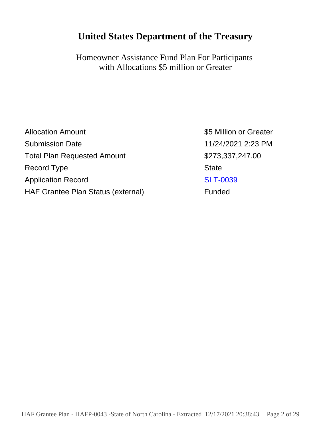## **United States Department of the Treasury**

Homeowner Assistance Fund Plan For Participants with Allocations \$5 million or Greater

| <b>Allocation Amount</b>           | \$5 Million or Greater |
|------------------------------------|------------------------|
| <b>Submission Date</b>             | 11/24/2021 2:23 PM     |
| <b>Total Plan Requested Amount</b> | \$273,337,247.00       |
| Record Type                        | <b>State</b>           |
| <b>Application Record</b>          | <b>SLT-0039</b>        |
| HAF Grantee Plan Status (external) | Funded                 |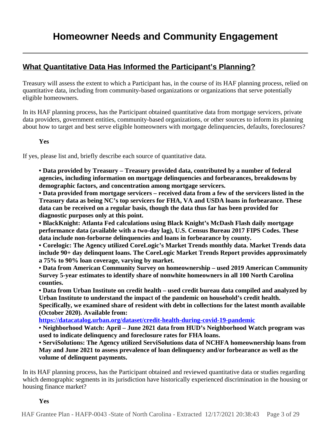### **What Quantitative Data Has Informed the Participant's Planning?**

Treasury will assess the extent to which a Participant has, in the course of its HAF planning process, relied on quantitative data, including from community-based organizations or organizations that serve potentially eligible homeowners.

In its HAF planning process, has the Participant obtained quantitative data from mortgage servicers, private data providers, government entities, community-based organizations, or other sources to inform its planning about how to target and best serve eligible homeowners with mortgage delinquencies, defaults, foreclosures?

**Yes**

If yes, please list and, briefly describe each source of quantitative data.

**• Data provided by Treasury – Treasury provided data, contributed by a number of federal agencies, including information on mortgage delinquencies and forbearances, breakdowns by demographic factors, and concentration among mortgage servicers.** 

**• Data provided from mortgage servicers – received data from a few of the servicers listed in the Treasury data as being NC's top servicers for FHA, VA and USDA loans in forbearance. These data can be received on a regular basis, though the data thus far has been provided for diagnostic purposes only at this point.** 

**• BlackKnight: Atlanta Fed calculations using Black Knight's McDash Flash daily mortgage performance data (available with a two-day lag), U.S. Census Bureau 2017 FIPS Codes. These data include non-forborne delinquencies and loans in forbearance by county.** 

**• Corelogic: The Agency utilized CoreLogic's Market Trends monthly data. Market Trends data include 90+ day delinquent loans. The CoreLogic Market Trends Report provides approximately a 75% to 90% loan coverage, varying by market.** 

**• Data from American Community Survey on homeownership – used 2019 American Community Survey 5-year estimates to identify share of nonwhite homeowners in all 100 North Carolina counties.** 

**• Data from Urban Institute on credit health – used credit bureau data compiled and analyzed by Urban Institute to understand the impact of the pandemic on household's credit health.**

**Specifically, we examined share of resident with debt in collections for the latest month available (October 2020). Available from:** 

**<https://datacatalog.urban.org/dataset/credit-health-during-covid-19-pandemic>**

**• Neighborhood Watch: April – June 2021 data from HUD's Neighborhood Watch program was used to indicate delinquency and foreclosure rates for FHA loans.**

**• ServiSolutions: The Agency utilized ServiSolutions data of NCHFA homeownership loans from May and June 2021 to assess prevalence of loan delinquency and/or forbearance as well as the volume of delinquent payments.**

In its HAF planning process, has the Participant obtained and reviewed quantitative data or studies regarding which demographic segments in its jurisdiction have historically experienced discrimination in the housing or housing finance market?

**Yes**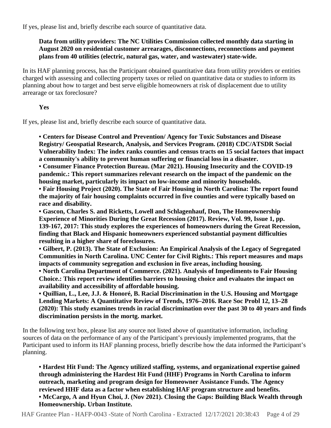If yes, please list and, briefly describe each source of quantitative data.

### **Data from utility providers: The NC Utilities Commission collected monthly data starting in August 2020 on residential customer arrearages, disconnections, reconnections and payment plans from 40 utilities (electric, natural gas, water, and wastewater) state-wide.**

In its HAF planning process, has the Participant obtained quantitative data from utility providers or entities charged with assessing and collecting property taxes or relied on quantitative data or studies to inform its planning about how to target and best serve eligible homeowners at risk of displacement due to utility arrearage or tax foreclosure?

### **Yes**

If yes, please list and, briefly describe each source of quantitative data.

**• Centers for Disease Control and Prevention/ Agency for Toxic Substances and Disease Registry/ Geospatial Research, Analysis, and Services Program. (2018) CDC/ATSDR Social Vulnerability Index: The index ranks counties and census tracts on 15 social factors that impact a community's ability to prevent human suffering or financial loss in a disaster.**

**• Consumer Finance Protection Bureau. (Mar 2021). Housing Insecurity and the COVID-19 pandemic.: This report summarizes relevant research on the impact of the pandemic on the housing market, particularly its impact on low-income and minority households.** 

**• Fair Housing Project (2020). The State of Fair Housing in North Carolina: The report found the majority of fair housing complaints occurred in five counties and were typically based on race and disability.** 

**• Gascon, Charles S. and Ricketts, Lowell and Schlagenhauf, Don, The Homeownership Experience of Minorities During the Great Recession (2017). Review, Vol. 99, Issue 1, pp. 139-167, 2017: This study explores the experiences of homeowners during the Great Recession, finding that Black and Hispanic homeowners experienced substantial payment difficulties resulting in a higher share of foreclosures.** 

**• Gilbert, P. (2013). The State of Exclusion: An Empirical Analysis of the Legacy of Segregated Communities in North Carolina. UNC Center for Civil Rights.: This report measures and maps impacts of community segregation and exclusion in five areas, including housing.**

**• North Carolina Department of Commerce. (2021). Analysis of Impediments to Fair Housing Choice.: This report review identifies barriers to housing choice and evaluates the impact on availability and accessibility of affordable housing.** 

**• Quillian, L., Lee, J.J. & Honoré, B. Racial Discrimination in the U.S. Housing and Mortgage Lending Markets: A Quantitative Review of Trends, 1976–2016. Race Soc Probl 12, 13–28 (2020): This study examines trends in racial discrimination over the past 30 to 40 years and finds discrimination persists in the mortg. market.**

In the following text box, please list any source not listed above of quantitative information, including sources of data on the performance of any of the Participant's previously implemented programs, that the Participant used to inform its HAF planning process, briefly describe how the data informed the Participant's planning.

**• Hardest Hit Fund: The Agency utilized staffing, systems, and organizational expertise gained through administering the Hardest Hit Fund (HHF) Programs in North Carolina to inform outreach, marketing and program design for Homeowner Assistance Funds. The Agency reviewed HHF data as a factor when establishing HAF program structure and benefits.** 

**• McCargo, A and Hyun Choi, J. (Nov 2021). Closing the Gaps: Building Black Wealth through Homeownership. Urban Institute.**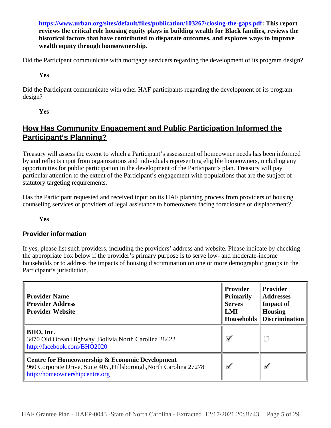**<https://www.urban.org/sites/default/files/publication/103267/closing-the-gaps.pdf>: This report reviews the critical role housing equity plays in building wealth for Black families, reviews the historical factors that have contributed to disparate outcomes, and explores ways to improve wealth equity through homeownership.**

Did the Participant communicate with mortgage servicers regarding the development of its program design?

**Yes**

Did the Participant communicate with other HAF participants regarding the development of its program design?

**Yes**

### **How Has Community Engagement and Public Participation Informed the Participant's Planning?**

Treasury will assess the extent to which a Participant's assessment of homeowner needs has been informed by and reflects input from organizations and individuals representing eligible homeowners, including any opportunities for public participation in the development of the Participant's plan. Treasury will pay particular attention to the extent of the Participant's engagement with populations that are the subject of statutory targeting requirements.

Has the Participant requested and received input on its HAF planning process from providers of housing counseling services or providers of legal assistance to homeowners facing foreclosure or displacement?

**Yes**

### **Provider information**

If yes, please list such providers, including the providers' address and website. Please indicate by checking the appropriate box below if the provider's primary purpose is to serve low- and moderate-income households or to address the impacts of housing discrimination on one or more demographic groups in the Participant's jurisdiction.

| <b>Provider Name</b><br><b>Provider Address</b><br><b>Provider Website</b>                                                                              | <b>Provider</b><br><b>Primarily</b><br><b>Serves</b><br>LMI | <b>Provider</b><br><b>Addresses</b><br><b>Impact of</b><br><b>Housing</b><br><b>Households</b> Discrimination |
|---------------------------------------------------------------------------------------------------------------------------------------------------------|-------------------------------------------------------------|---------------------------------------------------------------------------------------------------------------|
| BHO, Inc.<br>3470 Old Ocean Highway , Bolivia, North Carolina 28422<br>http://facebook.com/BHO2020                                                      | ✓                                                           |                                                                                                               |
| Centre for Homeownership & Economic Development<br>960 Corporate Drive, Suite 405, Hillsborough, North Carolina 27278<br>http://homeownershipcentre.org | $\checkmark$                                                | ✓                                                                                                             |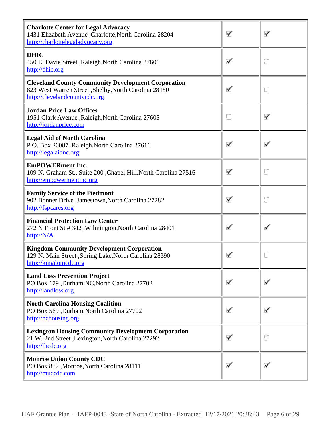| <b>Charlotte Center for Legal Advocacy</b><br>1431 Elizabeth Avenue , Charlotte, North Carolina 28204<br>http://charlottelegaladvocacy.org          | ✓ | ✓ |
|-----------------------------------------------------------------------------------------------------------------------------------------------------|---|---|
| <b>DHIC</b><br>450 E. Davie Street , Raleigh, North Carolina 27601<br>http://dhic.org                                                               | ✓ | O |
| <b>Cleveland County Community Development Corporation</b><br>823 West Warren Street , Shelby, North Carolina 28150<br>http://clevelandcountycdc.org | ✓ | m |
| <b>Jordan Price Law Offices</b><br>1951 Clark Avenue , Raleigh, North Carolina 27605<br>http://jordanprice.com                                      |   | ✓ |
| <b>Legal Aid of North Carolina</b><br>P.O. Box 26087 , Raleigh, North Carolina 27611<br>http://legalaidnc.org                                       | ✓ | ✓ |
| <b>EmPOWERment Inc.</b><br>109 N. Graham St., Suite 200 , Chapel Hill, North Carolina 27516<br>http://empowermentinc.org                            | ✓ | D |
| <b>Family Service of the Piedmont</b><br>902 Bonner Drive , Jamestown, North Carolina 27282<br>http://fspcares.org                                  | ✓ | m |
| <b>Financial Protection Law Center</b><br>272 N Front St #342, Wilmington, North Carolina 28401<br>http://N/A                                       | ✓ | ✓ |
| <b>Kingdom Community Development Corporation</b><br>129 N. Main Street , Spring Lake, North Carolina 28390<br>http://kingdomcdc.org                 |   | w |
| <b>Land Loss Prevention Project</b><br>PO Box 179, Durham NC, North Carolina 27702<br>http://landloss.org                                           | ✓ |   |
| <b>North Carolina Housing Coalition</b><br>PO Box 569 ,Durham,North Carolina 27702<br>http://nchousing.org                                          | ✓ | ✓ |
| <b>Lexington Housing Community Development Corporation</b><br>21 W. 2nd Street , Lexington, North Carolina 27292<br>http://lhcdc.org                | ✓ | D |
| <b>Monroe Union County CDC</b><br>PO Box 887, Monroe, North Carolina 28111<br>http://muccdc.com                                                     | ✓ | ✓ |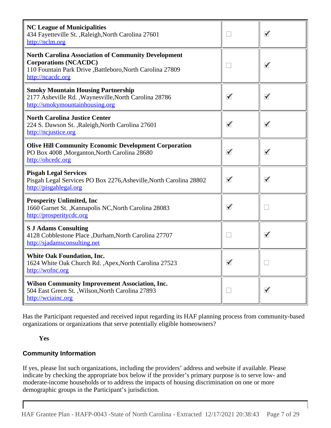| <b>NC League of Municipalities</b><br>434 Fayetteville St., Raleigh, North Carolina 27601<br>http://nclm.org                                                                  | u | ✓ |
|-------------------------------------------------------------------------------------------------------------------------------------------------------------------------------|---|---|
| <b>North Carolina Association of Community Development</b><br><b>Corporations (NCACDC)</b><br>110 Fountain Park Drive , Battleboro, North Carolina 27809<br>http://ncacdc.org | u | ✓ |
| <b>Smoky Mountain Housing Partnership</b><br>2177 Asheville Rd., Waynesville, North Carolina 28786<br>http://smokymountainhousing.org                                         | ✓ | ✓ |
| <b>North Carolina Justice Center</b><br>224 S. Dawson St., Raleigh, North Carolina 27601<br>http://ncjustice.org                                                              | ✓ | ✓ |
| <b>Olive Hill Community Economic Development Corporation</b><br>PO Box 4008, Morganton, North Carolina 28680<br>http://ohcedc.org                                             | ✓ | ✓ |
| <b>Pisgah Legal Services</b><br>Pisgah Legal Services PO Box 2276, Asheville, North Carolina 28802<br>http://pisgahlegal.org                                                  | ✓ | ✓ |
| <b>Prosperity Unlimited, Inc.</b><br>1660 Garnet St., Kannapolis NC, North Carolina 28083<br>http://prosperitycdc.org                                                         | ✓ | D |
| <b>S J Adams Consulting</b><br>4128 Cobblestone Place , Durham, North Carolina 27707<br>http://sjadamsconsulting.net                                                          |   | ✓ |
| <b>White Oak Foundation, Inc.</b><br>1624 White Oak Church Rd., Apex, North Carolina 27523<br>http://wofnc.org                                                                | ✓ |   |
| <b>Wilson Community Improvement Association, Inc.</b><br>504 East Green St., Wilson, North Carolina 27893<br>http://wciainc.org                                               | D | ✓ |

Has the Participant requested and received input regarding its HAF planning process from community-based organizations or organizations that serve potentially eligible homeowners?

### **Yes**

### **Community Information**

If yes, please list such organizations, including the providers' address and website if available. Please indicate by checking the appropriate box below if the provider's primary purpose is to serve low- and moderate-income households or to address the impacts of housing discrimination on one or more demographic groups in the Participant's jurisdiction.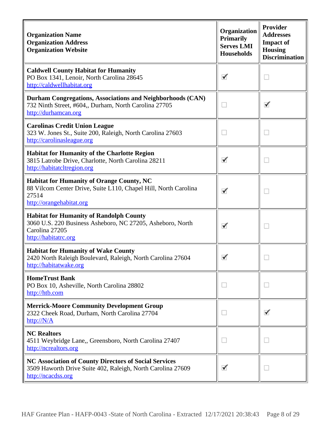| <b>Organization Name</b><br><b>Organization Address</b><br><b>Organization Website</b>                                                                   | Organization<br><b>Primarily</b><br><b>Serves LMI</b><br>Households | Provider<br><b>Addresses</b><br><b>Impact of</b><br><b>Housing</b><br><b>Discrimination</b> |
|----------------------------------------------------------------------------------------------------------------------------------------------------------|---------------------------------------------------------------------|---------------------------------------------------------------------------------------------|
| <b>Caldwell County Habitat for Humanity</b><br>PO Box 1341, Lenoir, North Carolina 28645<br>http://caldwellhabitat.org                                   | ✓                                                                   | D                                                                                           |
| Durham Congregations, Associations and Neighborhoods (CAN)<br>732 Ninth Street, #604,, Durham, North Carolina 27705<br>http://durhamcan.org              | D                                                                   | ✓                                                                                           |
| <b>Carolinas Credit Union League</b><br>323 W. Jones St., Suite 200, Raleigh, North Carolina 27603<br>http://carolinasleague.org                         | m                                                                   | D                                                                                           |
| <b>Habitat for Humanity of the Charlotte Region</b><br>3815 Latrobe Drive, Charlotte, North Carolina 28211<br>http://habitatcltregion.org                | ✓                                                                   | D                                                                                           |
| <b>Habitat for Humanity of Orange County, NC</b><br>88 Vilcom Center Drive, Suite L110, Chapel Hill, North Carolina<br>27514<br>http://orangehabitat.org |                                                                     | O                                                                                           |
| <b>Habitat for Humanity of Randolph County</b><br>3060 U.S. 220 Business Asheboro, NC 27205, Asheboro, North<br>Carolina 27205<br>http://habitatrc.org   | ✓                                                                   | D                                                                                           |
| <b>Habitat for Humanity of Wake County</b><br>2420 North Raleigh Boulevard, Raleigh, North Carolina 27604<br>http://habitatwake.org                      |                                                                     | w                                                                                           |
| <b>HomeTrust Bank</b><br>PO Box 10, Asheville, North Carolina 28802<br>http://htb.com                                                                    | D                                                                   | m                                                                                           |
| <b>Merrick-Moore Community Development Group</b><br>2322 Cheek Road, Durham, North Carolina 27704<br>http://N/A                                          | m                                                                   | ✓                                                                                           |
| <b>NC Realtors</b><br>4511 Weybridge Lane,, Greensboro, North Carolina 27407<br>http://ncrealtors.org                                                    | m                                                                   | m                                                                                           |
| NC Association of County Directors of Social Services<br>3509 Haworth Drive Suite 402, Raleigh, North Carolina 27609<br>http://ncacdss.org               | ✓                                                                   | D                                                                                           |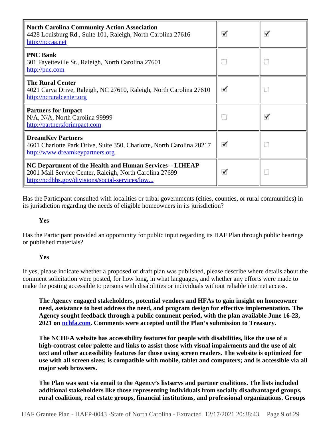| <b>North Carolina Community Action Association</b><br>4428 Louisburg Rd., Suite 101, Raleigh, North Carolina 27616<br>http://nccaa.net                                | ✓ | ✓ |
|-----------------------------------------------------------------------------------------------------------------------------------------------------------------------|---|---|
| <b>PNC Bank</b><br>301 Fayetteville St., Raleigh, North Carolina 27601<br>http://pnc.com                                                                              |   | W |
| <b>The Rural Center</b><br>4021 Carya Drive, Raleigh, NC 27610, Raleigh, North Carolina 27610<br>http://ncruralcenter.org                                             | ✓ | O |
| <b>Partners for Impact</b><br>N/A, N/A, North Carolina 99999<br>http://partnersforimpact.com                                                                          |   | ✓ |
| <b>DreamKey Partners</b><br>4601 Charlotte Park Drive, Suite 350, Charlotte, North Carolina 28217<br>http://www.dreamkeypartners.org                                  | ✓ | O |
| NC Department of the Health and Human Services – LIHEAP<br>2001 Mail Service Center, Raleigh, North Carolina 27699<br>http://ncdhhs.gov/divisions/social-services/low | ✓ |   |

Has the Participant consulted with localities or tribal governments (cities, counties, or rural communities) in its jurisdiction regarding the needs of eligible homeowners in its jurisdiction?

**Yes**

Has the Participant provided an opportunity for public input regarding its HAF Plan through public hearings or published materials?

### **Yes**

If yes, please indicate whether a proposed or draft plan was published, please describe where details about the comment solicitation were posted, for how long, in what languages, and whether any efforts were made to make the posting accessible to persons with disabilities or individuals without reliable internet access.

**The Agency engaged stakeholders, potential vendors and HFAs to gain insight on homeowner need, assistance to best address the need, and program design for effective implementation. The Agency sought feedback through a public comment period, with the plan available June 16-23, 2021 on [nchfa.com.](https://nchfa.com) Comments were accepted until the Plan's submission to Treasury.** 

**The NCHFA website has accessibility features for people with disabilities, like the use of a high-contrast color palette and links to assist those with visual impairments and the use of alt text and other accessibility features for those using screen readers. The website is optimized for use with all screen sizes; is compatible with mobile, tablet and computers; and is accessible via all major web browsers.**

**The Plan was sent via email to the Agency's listservs and partner coalitions. The lists included additional stakeholders like those representing individuals from socially disadvantaged groups, rural coalitions, real estate groups, financial institutions, and professional organizations. Groups**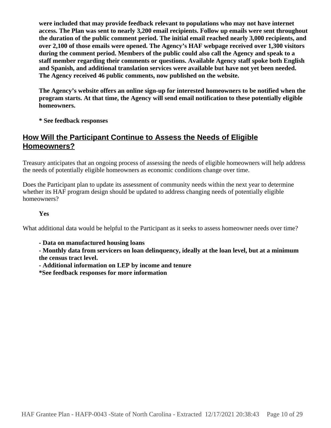**were included that may provide feedback relevant to populations who may not have internet access. The Plan was sent to nearly 3,200 email recipients. Follow up emails were sent throughout the duration of the public comment period. The initial email reached nearly 3,000 recipients, and over 2,100 of those emails were opened. The Agency's HAF webpage received over 1,300 visitors during the comment period. Members of the public could also call the Agency and speak to a staff member regarding their comments or questions. Available Agency staff spoke both English and Spanish, and additional translation services were available but have not yet been needed. The Agency received 46 public comments, now published on the website.** 

**The Agency's website offers an online sign-up for interested homeowners to be notified when the program starts. At that time, the Agency will send email notification to these potentially eligible homeowners.** 

**\* See feedback responses**

### **How Will the Participant Continue to Assess the Needs of Eligible Homeowners?**

Treasury anticipates that an ongoing process of assessing the needs of eligible homeowners will help address the needs of potentially eligible homeowners as economic conditions change over time.

Does the Participant plan to update its assessment of community needs within the next year to determine whether its HAF program design should be updated to address changing needs of potentially eligible homeowners?

### **Yes**

What additional data would be helpful to the Participant as it seeks to assess homeowner needs over time?

**- Data on manufactured housing loans** 

**- Monthly data from servicers on loan delinquency, ideally at the loan level, but at a minimum the census tract level.**

**- Additional information on LEP by income and tenure**

**\*See feedback responses for more information**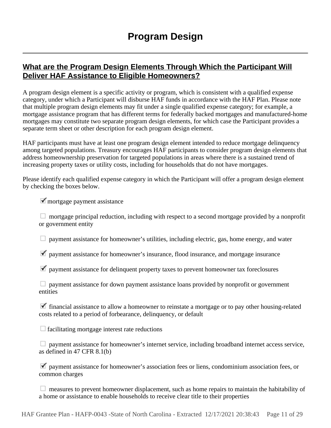### **What are the Program Design Elements Through Which the Participant Will Deliver HAF Assistance to Eligible Homeowners?**

A program design element is a specific activity or program, which is consistent with a qualified expense category, under which a Participant will disburse HAF funds in accordance with the HAF Plan. Please note that multiple program design elements may fit under a single qualified expense category; for example, a mortgage assistance program that has different terms for federally backed mortgages and manufactured-home mortgages may constitute two separate program design elements, for which case the Participant provides a separate term sheet or other description for each program design element.

HAF participants must have at least one program design element intended to reduce mortgage delinquency among targeted populations. Treasury encourages HAF participants to consider program design elements that address homeownership preservation for targeted populations in areas where there is a sustained trend of increasing property taxes or utility costs, including for households that do not have mortgages.

Please identify each qualified expense category in which the Participant will offer a program design element by checking the boxes below.

mortgage payment assistance

 $\Box$  mortgage principal reduction, including with respect to a second mortgage provided by a nonprofit or government entity

payment assistance for homeowner's utilities, including electric, gas, home energy, and water

 $\blacktriangledown$  payment assistance for homeowner's insurance, flood insurance, and mortgage insurance

 $\blacktriangledown$  payment assistance for delinquent property taxes to prevent homeowner tax foreclosures

**E** payment assistance for down payment assistance loans provided by nonprofit or government entities

 $\blacktriangledown$  financial assistance to allow a homeowner to reinstate a mortgage or to pay other housing-related costs related to a period of forbearance, delinquency, or default

 $\Box$  facilitating mortgage interest rate reductions

 payment assistance for homeowner's internet service, including broadband internet access service, as defined in 47 CFR 8.1(b)

 $\blacktriangledown$  payment assistance for homeowner's association fees or liens, condominium association fees, or common charges

measures to prevent homeowner displacement, such as home repairs to maintain the habitability of a home or assistance to enable households to receive clear title to their properties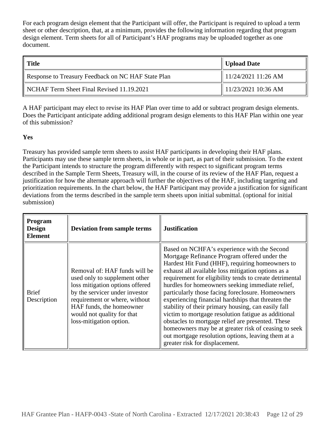For each program design element that the Participant will offer, the Participant is required to upload a term sheet or other description, that, at a minimum, provides the following information regarding that program design element. Term sheets for all of Participant's HAF programs may be uploaded together as one document.

| Title                                              | Upload Date                     |
|----------------------------------------------------|---------------------------------|
| Response to Treasury Feedback on NC HAF State Plan | $\parallel$ 11/24/2021 11:26 AM |
| NCHAF Term Sheet Final Revised 11.19.2021          | $\parallel$ 11/23/2021 10:36 AM |

A HAF participant may elect to revise its HAF Plan over time to add or subtract program design elements. Does the Participant anticipate adding additional program design elements to this HAF Plan within one year of this submission?

### **Yes**

Treasury has provided sample term sheets to assist HAF participants in developing their HAF plans. Participants may use these sample term sheets, in whole or in part, as part of their submission. To the extent the Participant intends to structure the program differently with respect to significant program terms described in the Sample Term Sheets, Treasury will, in the course of its review of the HAF Plan, request a justification for how the alternate approach will further the objectives of the HAF, including targeting and prioritization requirements. In the chart below, the HAF Participant may provide a justification for significant deviations from the terms described in the sample term sheets upon initial submittal. (optional for initial submission)

| <b>Program</b><br><b>Design</b><br><b>Element</b> | <b>Deviation from sample terms</b>                                                                                                                                                                                                                        | <b>Justification</b>                                                                                                                                                                                                                                                                                                                                                                                                                                                                                                                                                                                                                                                                                                                              |
|---------------------------------------------------|-----------------------------------------------------------------------------------------------------------------------------------------------------------------------------------------------------------------------------------------------------------|---------------------------------------------------------------------------------------------------------------------------------------------------------------------------------------------------------------------------------------------------------------------------------------------------------------------------------------------------------------------------------------------------------------------------------------------------------------------------------------------------------------------------------------------------------------------------------------------------------------------------------------------------------------------------------------------------------------------------------------------------|
| <b>Brief</b><br>Description                       | Removal of: HAF funds will be<br>used only to supplement other<br>loss mitigation options offered<br>by the servicer under investor<br>requirement or where, without<br>HAF funds, the homeowner<br>would not quality for that<br>loss-mitigation option. | Based on NCHFA's experience with the Second<br>Mortgage Refinance Program offered under the<br>Hardest Hit Fund (HHF), requiring homeowners to<br>exhaust all available loss mitigation options as a<br>requirement for eligibility tends to create detrimental<br>hurdles for homeowners seeking immediate relief,<br>particularly those facing foreclosure. Homeowners<br>experiencing financial hardships that threaten the<br>stability of their primary housing, can easily fall<br>victim to mortgage resolution fatigue as additional<br>obstacles to mortgage relief are presented. These<br>homeowners may be at greater risk of ceasing to seek<br>out mortgage resolution options, leaving them at a<br>greater risk for displacement. |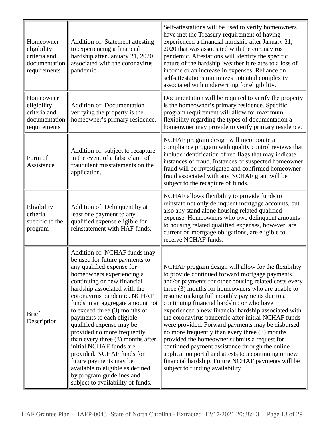| Homeowner<br>eligibility<br>criteria and<br>documentation<br>requirements | <b>Addition of: Statement attesting</b><br>to experiencing a financial<br>hardship after January 21, 2020<br>associated with the coronavirus<br>pandemic.                                                                                                                                                                                                                                                                                                                                                                                                                                                          | Self-attestations will be used to verify homeowners<br>have met the Treasury requirement of having<br>experienced a financial hardship after January 21,<br>2020 that was associated with the coronavirus<br>pandemic. Attestations will identify the specific<br>nature of the hardship, weather it relates to a loss of<br>income or an increase in expenses. Reliance on<br>self-attestations minimizes potential complexity<br>associated with underwriting for eligibility.                                                                                                                                                                                                                                                                                                          |
|---------------------------------------------------------------------------|--------------------------------------------------------------------------------------------------------------------------------------------------------------------------------------------------------------------------------------------------------------------------------------------------------------------------------------------------------------------------------------------------------------------------------------------------------------------------------------------------------------------------------------------------------------------------------------------------------------------|-------------------------------------------------------------------------------------------------------------------------------------------------------------------------------------------------------------------------------------------------------------------------------------------------------------------------------------------------------------------------------------------------------------------------------------------------------------------------------------------------------------------------------------------------------------------------------------------------------------------------------------------------------------------------------------------------------------------------------------------------------------------------------------------|
| Homeowner<br>eligibility<br>criteria and<br>documentation<br>requirements | <b>Addition of: Documentation</b><br>verifying the property is the<br>homeowner's primary residence.                                                                                                                                                                                                                                                                                                                                                                                                                                                                                                               | Documentation will be required to verify the property<br>is the homeowner's primary residence. Specific<br>program requirement will allow for maximum<br>flexibility regarding the types of documentation a<br>homeowner may provide to verify primary residence.                                                                                                                                                                                                                                                                                                                                                                                                                                                                                                                         |
| Form of<br>Assistance                                                     | Addition of: subject to recapture<br>in the event of a false claim of<br>fraudulent misstatements on the<br>application.                                                                                                                                                                                                                                                                                                                                                                                                                                                                                           | NCHAF program design will incorporate a<br>compliance program with quality control reviews that<br>include identification of red flags that may indicate<br>instances of fraud. Instances of suspected homeowner<br>fraud will be investigated and confirmed homeowner<br>fraud associated with any NCHAF grant will be<br>subject to the recapture of funds.                                                                                                                                                                                                                                                                                                                                                                                                                             |
| Eligibility<br>criteria<br>specific to the<br>program                     | Addition of: Delinquent by at<br>least one payment to any<br>qualified expense eligible for<br>reinstatement with HAF funds.                                                                                                                                                                                                                                                                                                                                                                                                                                                                                       | NCHAF allows flexibility to provide funds to<br>reinstate not only delinquent mortgage accounts, but<br>also any stand alone housing related qualified<br>expense. Homeowners who owe delinquent amounts<br>to housing related qualified expenses, however, are<br>current on mortgage obligations, are eligible to<br>receive NCHAF funds.                                                                                                                                                                                                                                                                                                                                                                                                                                               |
| <b>Brief</b><br>Description                                               | Addition of: NCHAF funds may<br>be used for future payments to<br>any qualified expense for<br>homeowners experiencing a<br>continuing or new financial<br>hardship associated with the<br>coronavirus pandemic. NCHAF<br>funds in an aggregate amount not<br>to exceed three (3) months of<br>payments to each eligible<br>qualified expense may be<br>provided no more frequently<br>than every three $(3)$ months after<br>initial NCHAF funds are<br>provided. NCHAF funds for<br>future payments may be<br>available to eligible as defined<br>by program guidelines and<br>subject to availability of funds. | NCHAF program design will allow for the flexibility<br>to provide continued forward mortgage payments<br>and/or payments for other housing related costs every<br>three (3) months for homeowners who are unable to<br>resume making full monthly payments due to a<br>continuing financial hardship or who have<br>experienced a new financial hardship associated with<br>the coronavirus pandemic after initial NCHAF funds<br>were provided. Forward payments may be disbursed<br>no more frequently than every three (3) months<br>provided the homeowner submits a request for<br>continued payment assistance through the online<br>application portal and attests to a continuing or new<br>financial hardship. Future NCHAF payments will be<br>subject to funding availability. |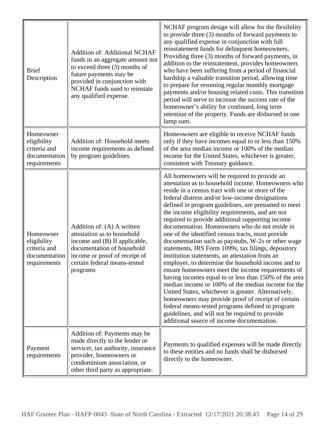| <b>Brief</b><br>Description                                               | <b>Addition of: Additional NCHAF</b><br>funds in an aggregate amount not<br>to exceed three (3) months of<br>future payments may be<br>provided in conjunction with<br>NCHAF funds used to reinstate<br>any qualified expense. | NCHAF program design will allow for the flexibility<br>to provide three (3) months of forward payments to<br>any qualified expense in conjunction with full<br>reinstatement funds for delinquent homeowners.<br>Providing three (3) months of forward payments, in<br>addition to the reinstatement, provides homeowners<br>who have been suffering from a period of financial<br>hardship a valuable transition period, allowing time<br>to prepare for resuming regular monthly mortgage<br>payments and/or housing related costs. This transition<br>period will serve to increase the success rate of the<br>homeowner's ability for continued, long term<br>retention of the property. Funds are disbursed in one<br>lump sum.                                                                                                                                                                                                                                                                                                                                                                                                        |
|---------------------------------------------------------------------------|--------------------------------------------------------------------------------------------------------------------------------------------------------------------------------------------------------------------------------|---------------------------------------------------------------------------------------------------------------------------------------------------------------------------------------------------------------------------------------------------------------------------------------------------------------------------------------------------------------------------------------------------------------------------------------------------------------------------------------------------------------------------------------------------------------------------------------------------------------------------------------------------------------------------------------------------------------------------------------------------------------------------------------------------------------------------------------------------------------------------------------------------------------------------------------------------------------------------------------------------------------------------------------------------------------------------------------------------------------------------------------------|
| Homeowner<br>eligibility<br>criteria and<br>documentation<br>requirements | Addition of: Household meets<br>income requirements as defined<br>by program guidelines.                                                                                                                                       | Homeowners are eligible to receive NCHAF funds<br>only if they have incomes equal to or less than 150%<br>of the area median income or 100% of the median<br>income for the United States, whichever is greater,<br>consistent with Treasury guidance.                                                                                                                                                                                                                                                                                                                                                                                                                                                                                                                                                                                                                                                                                                                                                                                                                                                                                      |
| Homeowner<br>eligibility<br>criteria and<br>documentation<br>requirements | Addition of: (A) A written<br>attestation as to household<br>income and (B) If applicable,<br>documentation of household<br>income or proof of receipt of<br>certain federal means-tested<br>programs                          | All homeowners will be required to provide an<br>attestation as to household income. Homeowners who<br>reside in a census tract with one or more of the<br>federal distress and/or low-income designations<br>defined in program guidelines, are presumed to meet<br>the income eligibility requirements, and are not<br>required to provide additional supporting income<br>documentation. Homeowners who do not reside in<br>one of the identified census tracts, must provide<br>documentation such as paystubs, W-2s or other wage<br>statements, IRS Form 1099s, tax filings, depository<br>institution statements, an attestation from an<br>employer, to determine the household income and to<br>ensure homeowners meet the income requirements of<br>having incomes equal to or less than 150% of the area<br>median income or 100% of the median income for the<br>United States, whichever is greater. Alternatively,<br>homeowners may provide proof of receipt of certain<br>federal means-tested programs defined in program<br>guidelines, and will not be required to provide<br>additional source of income documentation. |
| Payment<br>requirements                                                   | Addition of: Payments may be<br>made directly to the lender or<br>servicer, tax authority, insurance<br>provider, homeowners or<br>condominium association, or<br>other third party as appropriate.                            | Payments to qualified expenses will be made directly<br>to these entities and no funds shall be disbursed<br>directly to the homeowner.                                                                                                                                                                                                                                                                                                                                                                                                                                                                                                                                                                                                                                                                                                                                                                                                                                                                                                                                                                                                     |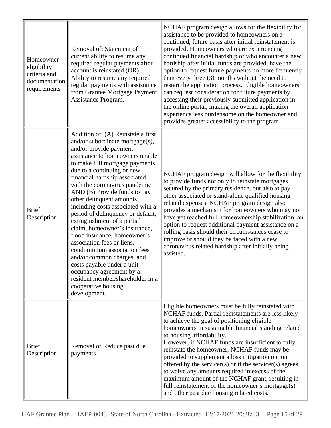| Homeowner<br>eligibility<br>criteria and<br>documentation<br>requirements | Removal of: Statement of<br>current ability to resume any<br>required regular payments after<br>account is reinstated (OR)<br>Ability to resume any required<br>regular payments with assistance<br>from Grantee Mortgage Payment<br>Assistance Program.                                                                                                                                                                                                                                                                                                                                                                                                                                                                                      | NCHAF program design allows for the flexibility for<br>assistance to be provided to homeowners on a<br>continued, future basis after initial reinstatement is<br>provided. Homeowners who are experiencing<br>continued financial hardship or who encounter a new<br>hardship after initial funds are provided, have the<br>option to request future payments no more frequently<br>than every three $(3)$ months without the need to<br>restart the application process. Eligible homeowners<br>can request consideration for future payments by<br>accessing their previously submitted application in<br>the online portal, making the overall application<br>experience less burdensome on the homeowner and<br>provides greater accessibility to the program. |
|---------------------------------------------------------------------------|-----------------------------------------------------------------------------------------------------------------------------------------------------------------------------------------------------------------------------------------------------------------------------------------------------------------------------------------------------------------------------------------------------------------------------------------------------------------------------------------------------------------------------------------------------------------------------------------------------------------------------------------------------------------------------------------------------------------------------------------------|--------------------------------------------------------------------------------------------------------------------------------------------------------------------------------------------------------------------------------------------------------------------------------------------------------------------------------------------------------------------------------------------------------------------------------------------------------------------------------------------------------------------------------------------------------------------------------------------------------------------------------------------------------------------------------------------------------------------------------------------------------------------|
| <b>Brief</b><br>Description                                               | Addition of: (A) Reinstate a first<br>and/or subordinate mortgage(s),<br>and/or provide payment<br>assistance to homeowners unable<br>to make full mortgage payments<br>due to a continuing or new<br>financial hardship associated<br>with the coronavirus pandemic.<br>AND (B) Provide funds to pay<br>other delinquent amounts,<br>including costs associated with a<br>period of delinquency or default,<br>extinguishment of a partial<br>claim, homeowner's insurance,<br>flood insurance, homeowner's<br>association fees or liens,<br>condominium association fees<br>and/or common charges, and<br>costs payable under a unit<br>occupancy agreement by a<br>resident member/shareholder in a<br>cooperative housing<br>development. | NCHAF program design will allow for the flexibility<br>to provide funds not only to reinstate mortgages<br>secured by the primary residence, but also to pay<br>other associated or stand-alone qualified housing<br>related expenses. NCHAF program design also<br>provides a mechanism for homeowners who may not<br>have yet reached full homeownership stabilization, an<br>option to request additional payment assistance on a<br>rolling basis should their circumstances cease to<br>improve or should they be faced with a new<br>coronavirus related hardship after initially being<br>assisted.                                                                                                                                                         |
| <b>Brief</b><br>Description                                               | Removal of Reduce past due<br>payments                                                                                                                                                                                                                                                                                                                                                                                                                                                                                                                                                                                                                                                                                                        | Eligible homeowners must be fully reinstated with<br>NCHAF funds. Partial reinstatements are less likely<br>to achieve the goal of positioning eligible<br>homeowners in sustainable financial standing related<br>to housing affordability.<br>However, if NCHAF funds are insufficient to fully<br>reinstate the homeowner, NCHAF funds may be<br>provided to supplement a loss mitigation option<br>offered by the servicer(s) or if the servicer(s) agrees<br>to waive any amounts required in excess of the<br>maximum amount of the NCHAF grant, resulting in<br>full reinstatement of the homeowner's mortgage(s)<br>and other past due housing related costs.                                                                                              |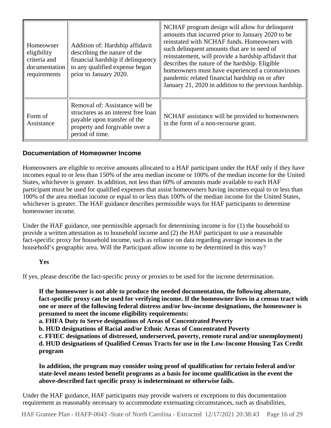| Homeowner<br>eligibility<br>criteria and<br>documentation<br>requirements | Addition of: Hardship affidavit<br>describing the nature of the<br>financial hardship if delinquency<br>to any qualified expense began<br>prior to January 2020. | NCHAF program design will allow for delinquent<br>amounts that incurred prior to January 2020 to be<br>reinstated with NCHAF funds. Homeowners with<br>such delinquent amounts that are in need of<br>reinstatement, will provide a hardship affidavit that<br>describes the nature of the hardship. Eligible<br>homeowners must have experienced a coronaviruses<br>pandemic related financial hardship on or after<br>January 21, 2020 in addition to the previous hardship. |
|---------------------------------------------------------------------------|------------------------------------------------------------------------------------------------------------------------------------------------------------------|--------------------------------------------------------------------------------------------------------------------------------------------------------------------------------------------------------------------------------------------------------------------------------------------------------------------------------------------------------------------------------------------------------------------------------------------------------------------------------|
| Form of<br>Assistance                                                     | Removal of: Assistance will be<br>structures as an interest free loan<br>payable upon transfer of the<br>property and forgivable over a<br>period of time.       | NCHAF assistance will be provided to homeowners<br>in the form of a non-recourse grant.                                                                                                                                                                                                                                                                                                                                                                                        |

### **Documentation of Homeowner Income**

Homeowners are eligible to receive amounts allocated to a HAF participant under the HAF only if they have incomes equal to or less than 150% of the area median income or 100% of the median income for the United States, whichever is greater. In addition, not less than 60% of amounts made available to each HAF participant must be used for qualified expenses that assist homeowners having incomes equal to or less than 100% of the area median income or equal to or less than 100% of the median income for the United States, whichever is greater. The HAF guidance describes permissible ways for HAF participants to determine homeowner income.

Under the HAF guidance, one permissible approach for determining income is for (1) the household to provide a written attestation as to household income and (2) the HAF participant to use a reasonable fact-specific proxy for household income, such as reliance on data regarding average incomes in the household's geographic area. Will the Participant allow income to be determined in this way?

### **Yes**

If yes, please describe the fact-specific proxy or proxies to be used for the income determination.

**If the homeowner is not able to produce the needed documentation, the following alternate, fact-specific proxy can be used for verifying income. If the homeowner lives in a census tract with one or more of the following federal distress and/or low-income designations, the homeowner is presumed to meet the income eligibility requirements:**

**a. FHFA Duty to Serve designations of Areas of Concentrated Poverty**

**b. HUD designations of Racial and/or Ethnic Areas of Concentrated Poverty**

**c. FFIEC designations of distressed, underserved, poverty, remote rural and/or unemployment) d. HUD designations of Qualified Census Tracts for use in the Low-Income Housing Tax Credit program**

**In addition, the program may consider using proof of qualification for certain federal and/or state-level means tested benefit programs as a basis for income qualification in the event the above-described fact specific proxy is indeterminant or otherwise fails.**

Under the HAF guidance, HAF participants may provide waivers or exceptions to this documentation requirement as reasonably necessary to accommodate extenuating circumstances, such as disabilities,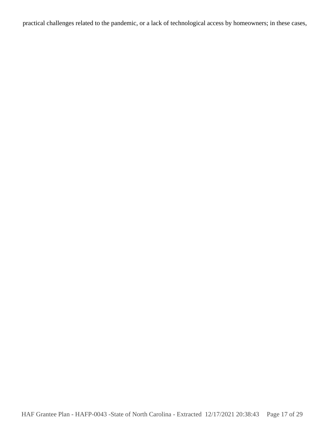practical challenges related to the pandemic, or a lack of technological access by homeowners; in these cases,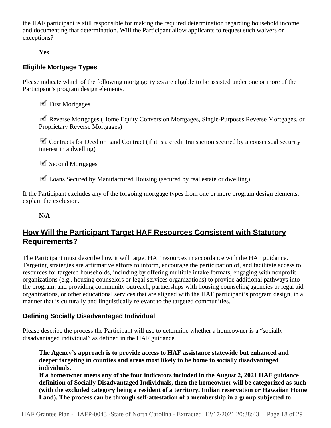the HAF participant is still responsible for making the required determination regarding household income and documenting that determination. Will the Participant allow applicants to request such waivers or exceptions?

**Yes**

### **Eligible Mortgage Types**

Please indicate which of the following mortgage types are eligible to be assisted under one or more of the Participant's program design elements.

 $\checkmark$  First Mortgages

 Reverse Mortgages (Home Equity Conversion Mortgages, Single-Purposes Reverse Mortgages, or Proprietary Reverse Mortgages)

 $\blacksquare$  Contracts for Deed or Land Contract (if it is a credit transaction secured by a consensual security interest in a dwelling)

 $\checkmark$  Second Mortgages

 $\blacksquare$  Loans Secured by Manufactured Housing (secured by real estate or dwelling)

If the Participant excludes any of the forgoing mortgage types from one or more program design elements, explain the exclusion.

**N/A**

### **How Will the Participant Target HAF Resources Consistent with Statutory Requirements?**

The Participant must describe how it will target HAF resources in accordance with the HAF guidance. Targeting strategies are affirmative efforts to inform, encourage the participation of, and facilitate access to resources for targeted households, including by offering multiple intake formats, engaging with nonprofit organizations (e.g., housing counselors or legal services organizations) to provide additional pathways into the program, and providing community outreach, partnerships with housing counseling agencies or legal aid organizations, or other educational services that are aligned with the HAF participant's program design, in a manner that is culturally and linguistically relevant to the targeted communities.

### **Defining Socially Disadvantaged Individual**

Please describe the process the Participant will use to determine whether a homeowner is a "socially disadvantaged individual" as defined in the HAF guidance.

**The Agency's approach is to provide access to HAF assistance statewide but enhanced and deeper targeting in counties and areas most likely to be home to socially disadvantaged individuals.** 

**If a homeowner meets any of the four indicators included in the August 2, 2021 HAF guidance definition of Socially Disadvantaged Individuals, then the homeowner will be categorized as such (with the excluded category being a resident of a territory, Indian reservation or Hawaiian Home Land). The process can be through self-attestation of a membership in a group subjected to**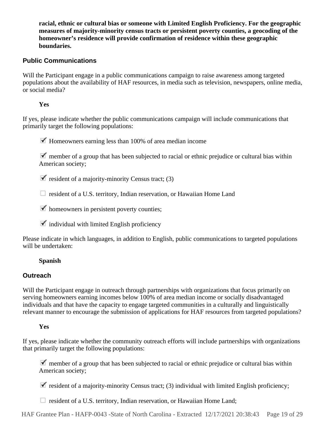**racial, ethnic or cultural bias or someone with Limited English Proficiency. For the geographic measures of majority-minority census tracts or persistent poverty counties, a geocoding of the homeowner's residence will provide confirmation of residence within these geographic boundaries.**

### **Public Communications**

Will the Participant engage in a public communications campaign to raise awareness among targeted populations about the availability of HAF resources, in media such as television, newspapers, online media, or social media?

**Yes**

If yes, please indicate whether the public communications campaign will include communications that primarily target the following populations:

 $\blacktriangleright$  Homeowners earning less than 100% of area median income

 $\blacksquare$  member of a group that has been subjected to racial or ethnic prejudice or cultural bias within American society;

 $\blacktriangleright$  resident of a majority-minority Census tract; (3)

resident of a U.S. territory, Indian reservation, or Hawaiian Home Land

 $\blacktriangleright$  homeowners in persistent poverty counties;

 $\checkmark$  individual with limited English proficiency

Please indicate in which languages, in addition to English, public communications to targeted populations will be undertaken:

### **Spanish**

### **Outreach**

Will the Participant engage in outreach through partnerships with organizations that focus primarily on serving homeowners earning incomes below 100% of area median income or socially disadvantaged individuals and that have the capacity to engage targeted communities in a culturally and linguistically relevant manner to encourage the submission of applications for HAF resources from targeted populations?

### **Yes**

If yes, please indicate whether the community outreach efforts will include partnerships with organizations that primarily target the following populations:

 $\blacktriangledown$  member of a group that has been subjected to racial or ethnic prejudice or cultural bias within American society;

 $\blacksquare$  resident of a majority-minority Census tract; (3) individual with limited English proficiency;

**E** resident of a U.S. territory, Indian reservation, or Hawaiian Home Land;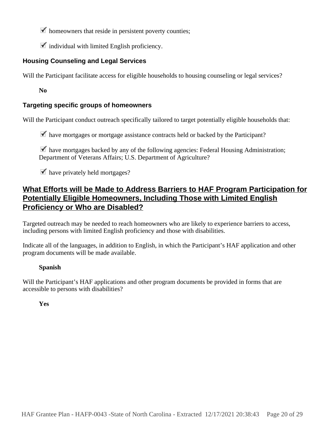$\blacktriangleright$  homeowners that reside in persistent poverty counties;

 $\checkmark$  individual with limited English proficiency.

### **Housing Counseling and Legal Services**

Will the Participant facilitate access for eligible households to housing counseling or legal services?

**No**

### **Targeting specific groups of homeowners**

Will the Participant conduct outreach specifically tailored to target potentially eligible households that:

 $\blacktriangleright$  have mortgages or mortgage assistance contracts held or backed by the Participant?

 $\blacktriangleright$  have mortgages backed by any of the following agencies: Federal Housing Administration; Department of Veterans Affairs; U.S. Department of Agriculture?

 $\blacktriangleright$  have privately held mortgages?

### **What Efforts will be Made to Address Barriers to HAF Program Participation for Potentially Eligible Homeowners, Including Those with Limited English Proficiency or Who are Disabled?**

Targeted outreach may be needed to reach homeowners who are likely to experience barriers to access, including persons with limited English proficiency and those with disabilities.

Indicate all of the languages, in addition to English, in which the Participant's HAF application and other program documents will be made available.

### **Spanish**

Will the Participant's HAF applications and other program documents be provided in forms that are accessible to persons with disabilities?

**Yes**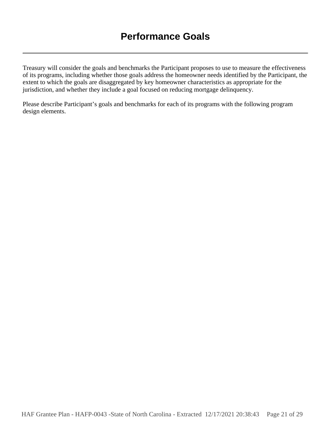Treasury will consider the goals and benchmarks the Participant proposes to use to measure the effectiveness of its programs, including whether those goals address the homeowner needs identified by the Participant, the extent to which the goals are disaggregated by key homeowner characteristics as appropriate for the jurisdiction, and whether they include a goal focused on reducing mortgage delinquency.

Please describe Participant's goals and benchmarks for each of its programs with the following program design elements.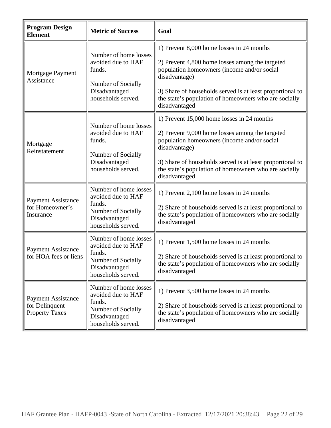| <b>Program Design</b><br><b>Element</b>                              | <b>Metric of Success</b>                                                                                           | Goal                                                                                                                                                                                                                                                                                                 |
|----------------------------------------------------------------------|--------------------------------------------------------------------------------------------------------------------|------------------------------------------------------------------------------------------------------------------------------------------------------------------------------------------------------------------------------------------------------------------------------------------------------|
| Mortgage Payment<br>Assistance                                       | Number of home losses<br>avoided due to HAF<br>funds.<br>Number of Socially<br>Disadvantaged<br>households served. | 1) Prevent 8,000 home losses in 24 months<br>2) Prevent 4,800 home losses among the targeted<br>population homeowners (income and/or social<br>disadvantage)<br>3) Share of households served is at least proportional to<br>the state's population of homeowners who are socially<br>disadvantaged  |
| Mortgage<br>Reinstatement                                            | Number of home losses<br>avoided due to HAF<br>funds.<br>Number of Socially<br>Disadvantaged<br>households served. | 1) Prevent 15,000 home losses in 24 months<br>2) Prevent 9,000 home losses among the targeted<br>population homeowners (income and/or social<br>disadvantage)<br>3) Share of households served is at least proportional to<br>the state's population of homeowners who are socially<br>disadvantaged |
| <b>Payment Assistance</b><br>for Homeowner's<br>Insurance            | Number of home losses<br>avoided due to HAF<br>funds.<br>Number of Socially<br>Disadvantaged<br>households served. | 1) Prevent 2,100 home losses in 24 months<br>2) Share of households served is at least proportional to<br>the state's population of homeowners who are socially<br>disadvantaged                                                                                                                     |
| <b>Payment Assistance</b><br>for HOA fees or liens                   | Number of home losses<br>avoided due to HAF<br>funds.<br>Number of Socially<br>Disadvantaged<br>households served. | 1) Prevent 1,500 home losses in 24 months<br>2) Share of households served is at least proportional to<br>the state's population of homeowners who are socially<br>disadvantaged                                                                                                                     |
| <b>Payment Assistance</b><br>for Delinquent<br><b>Property Taxes</b> | Number of home losses<br>avoided due to HAF<br>funds.<br>Number of Socially<br>Disadvantaged<br>households served. | 1) Prevent 3,500 home losses in 24 months<br>2) Share of households served is at least proportional to<br>the state's population of homeowners who are socially<br>disadvantaged                                                                                                                     |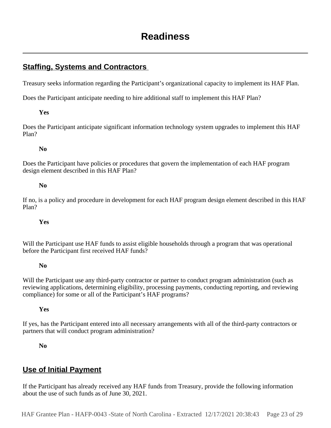### **Staffing, Systems and Contractors**

Treasury seeks information regarding the Participant's organizational capacity to implement its HAF Plan.

Does the Participant anticipate needing to hire additional staff to implement this HAF Plan?

#### **Yes**

Does the Participant anticipate significant information technology system upgrades to implement this HAF Plan?

### **No**

Does the Participant have policies or procedures that govern the implementation of each HAF program design element described in this HAF Plan?

#### **No**

If no, is a policy and procedure in development for each HAF program design element described in this HAF Plan?

### **Yes**

Will the Participant use HAF funds to assist eligible households through a program that was operational before the Participant first received HAF funds?

#### **No**

Will the Participant use any third-party contractor or partner to conduct program administration (such as reviewing applications, determining eligibility, processing payments, conducting reporting, and reviewing compliance) for some or all of the Participant's HAF programs?

### **Yes**

If yes, has the Participant entered into all necessary arrangements with all of the third-party contractors or partners that will conduct program administration?

#### **No**

### **Use of Initial Payment**

If the Participant has already received any HAF funds from Treasury, provide the following information about the use of such funds as of June 30, 2021.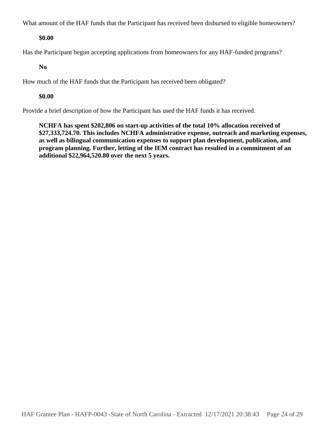What amount of the HAF funds that the Participant has received been disbursed to eligible homeowners?

### **\$0.00**

Has the Participant begun accepting applications from homeowners for any HAF-funded programs?

### **No**

How much of the HAF funds that the Participant has received been obligated?

### **\$0.00**

Provide a brief description of how the Participant has used the HAF funds it has received.

**NCHFA has spent \$202,806 on start-up activities of the total 10% allocation received of \$27,333,724.70. This includes NCHFA administrative expense, outreach and marketing expenses, as well as bilingual communication expenses to support plan development, publication, and program planning. Further, letting of the IEM contract has resulted in a commitment of an additional \$22,964,520.80 over the next 5 years.**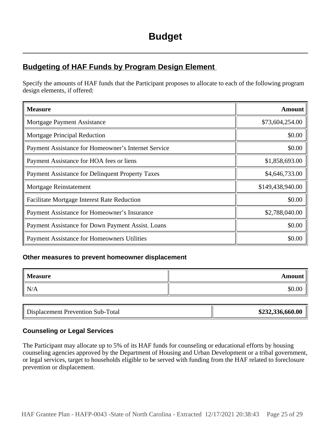### **Budgeting of HAF Funds by Program Design Element**

Specify the amounts of HAF funds that the Participant proposes to allocate to each of the following program design elements, if offered:

| <b>Measure</b>                                      | <b>Amount</b>    |
|-----------------------------------------------------|------------------|
| Mortgage Payment Assistance                         | \$73,604,254.00  |
| <b>Mortgage Principal Reduction</b>                 | \$0.00           |
| Payment Assistance for Homeowner's Internet Service | \$0.00           |
| Payment Assistance for HOA fees or liens            | \$1,858,693.00   |
| Payment Assistance for Delinquent Property Taxes    | \$4,646,733.00   |
| Mortgage Reinstatement                              | \$149,438,940.00 |
| <b>Facilitate Mortgage Interest Rate Reduction</b>  | \$0.00           |
| Payment Assistance for Homeowner's Insurance        | \$2,788,040.00   |
| Payment Assistance for Down Payment Assist. Loans   | \$0.00           |
| <b>Payment Assistance for Homeowners Utilities</b>  | \$0.00           |

### **Other measures to prevent homeowner displacement**

| Measure | Amount |
|---------|--------|
| N/A     | \$0.00 |

| <b>Displacement Prevention Sub-T</b><br>Total | \$232,336,660.00 |
|-----------------------------------------------|------------------|
|-----------------------------------------------|------------------|

### **Counseling or Legal Services**

The Participant may allocate up to 5% of its HAF funds for counseling or educational efforts by housing counseling agencies approved by the Department of Housing and Urban Development or a tribal government, or legal services, target to households eligible to be served with funding from the HAF related to foreclosure prevention or displacement.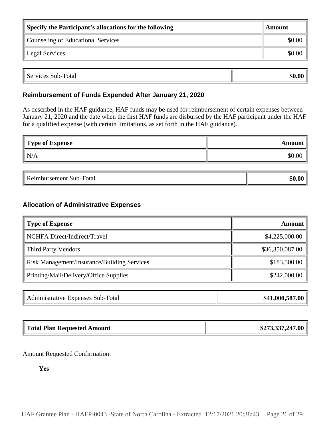| Specify the Participant's allocations for the following | Amount |
|---------------------------------------------------------|--------|
| Counseling or Educational Services                      | \$0.00 |
| Legal Services                                          |        |

| $\blacksquare$<br>Services<br>Total<br>$Sub-$ | $\mathbf{0}$<br>m 1<br>51 I |
|-----------------------------------------------|-----------------------------|

### **Reimbursement of Funds Expended After January 21, 2020**

As described in the HAF guidance, HAF funds may be used for reimbursement of certain expenses between January 21, 2020 and the date when the first HAF funds are disbursed by the HAF participant under the HAF for a qualified expense (with certain limitations, as set forth in the HAF guidance).

| Type of Expense | Amount |
|-----------------|--------|
| N/A             | \$0.00 |

| `ota.<br>---<br>к<br>,,,,,<br>.<br>.<br>. |  |
|-------------------------------------------|--|
|-------------------------------------------|--|

### **Allocation of Administrative Expenses**

| Amount          |
|-----------------|
| \$4,225,000.00  |
| \$36,350,087.00 |
| \$183,500.00    |
| \$242,000.00    |
|                 |

| Administrative Expenses Sub-Total | \$41,000,587.00 |
|-----------------------------------|-----------------|
|-----------------------------------|-----------------|

| <b>Total Plan Requested Amount</b> | \$273,337,247.00 |
|------------------------------------|------------------|
|                                    |                  |

Amount Requested Confirmation:

**Yes**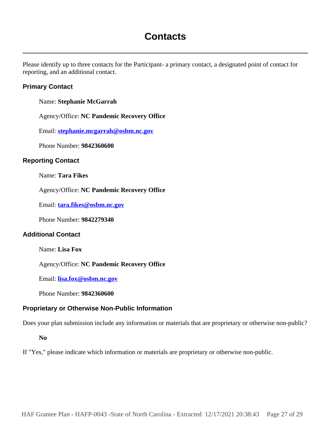# **Contacts**

Please identify up to three contacts for the Participant- a primary contact, a designated point of contact for reporting, and an additional contact.

### **Primary Contact**

Name: **Stephanie McGarrah**

Agency/Office: **NC Pandemic Recovery Office**

Email: **stephanie.mcgarrah@osbm.nc.gov**

Phone Number: **9842360600**

### **Reporting Contact**

Name: **Tara Fikes**

Agency/Office: **NC Pandemic Recovery Office**

Email: **tara.fikes@osbm.nc.gov**

Phone Number: **9842279340**

### **Additional Contact**

Name: **Lisa Fox**

Agency/Office: **NC Pandemic Recovery Office**

Email: **lisa.fox@osbm.nc.gov**

Phone Number: **9842360600**

#### **Proprietary or Otherwise Non-Public Information**

Does your plan submission include any information or materials that are proprietary or otherwise non-public?

**No**

If "Yes," please indicate which information or materials are proprietary or otherwise non-public.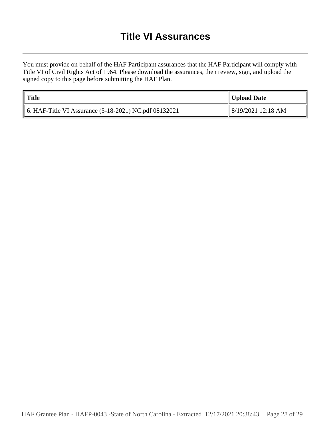# **Title VI Assurances**

You must provide on behalf of the HAF Participant assurances that the HAF Participant will comply with Title VI of Civil Rights Act of 1964. Please download the assurances, then review, sign, and upload the signed copy to this page before submitting the HAF Plan.

| <b>Title</b>                                              | Upload Date        |
|-----------------------------------------------------------|--------------------|
| 6. HAF-Title VI Assurance $(5-18-2021)$ NC.pdf $08132021$ | 8/19/2021 12:18 AM |